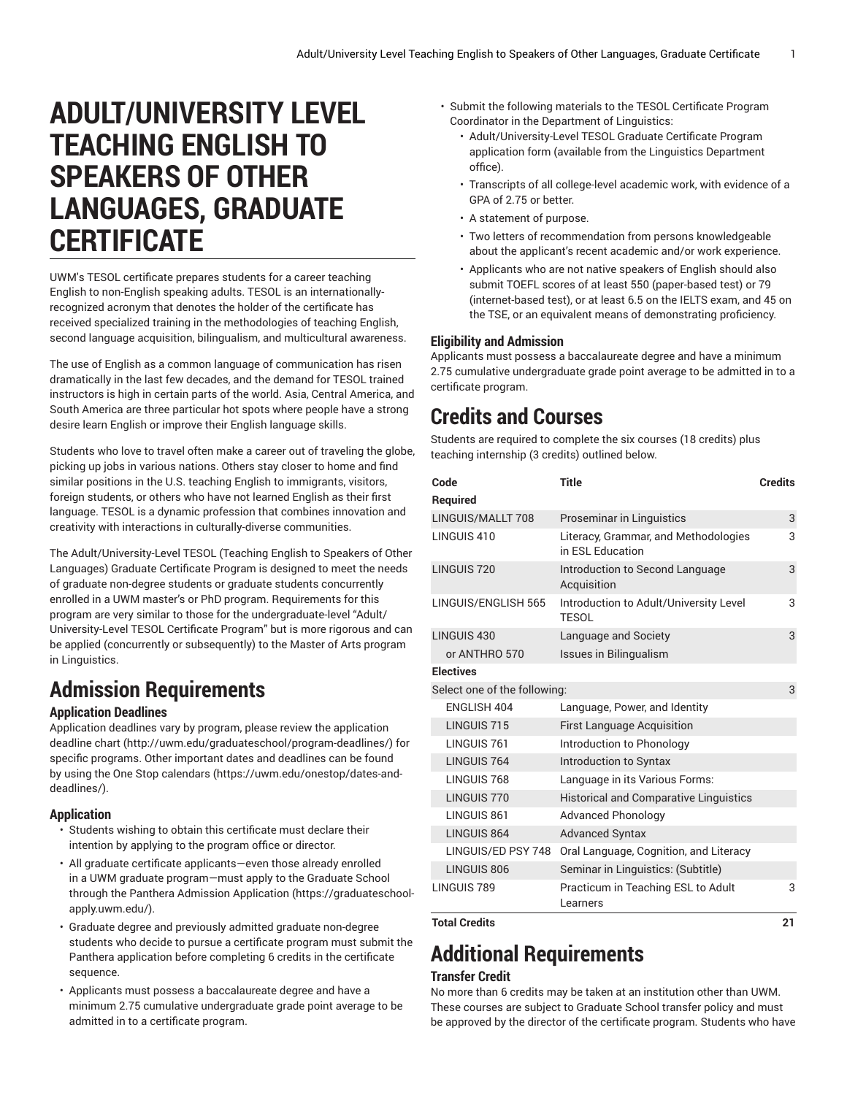# **ADULT/UNIVERSITY LEVEL TEACHING ENGLISH TO SPEAKERS OF OTHER LANGUAGES, GRADUATE CERTIFICATE**

UWM's TESOL certificate prepares students for a career teaching English to non-English speaking adults. TESOL is an internationallyrecognized acronym that denotes the holder of the certificate has received specialized training in the methodologies of teaching English, second language acquisition, bilingualism, and multicultural awareness.

The use of English as a common language of communication has risen dramatically in the last few decades, and the demand for TESOL trained instructors is high in certain parts of the world. Asia, Central America, and South America are three particular hot spots where people have a strong desire learn English or improve their English language skills.

Students who love to travel often make a career out of traveling the globe, picking up jobs in various nations. Others stay closer to home and find similar positions in the U.S. teaching English to immigrants, visitors, foreign students, or others who have not learned English as their first language. TESOL is a dynamic profession that combines innovation and creativity with interactions in culturally-diverse communities.

The Adult/University-Level TESOL (Teaching English to Speakers of Other Languages) Graduate Certificate Program is designed to meet the needs of graduate non-degree students or graduate students concurrently enrolled in a UWM master's or PhD program. Requirements for this program are very similar to those for the undergraduate-level "Adult/ University-Level TESOL Certificate Program" but is more rigorous and can be applied (concurrently or subsequently) to the Master of Arts program in Linguistics.

## **Admission Requirements**

### **Application Deadlines**

Application deadlines vary by program, please review the [application](http://uwm.edu/graduateschool/program-deadlines/) [deadline](http://uwm.edu/graduateschool/program-deadlines/) chart ([http://uwm.edu/graduateschool/program-deadlines/\)](http://uwm.edu/graduateschool/program-deadlines/) for specific programs. Other important dates and deadlines can be found by using the [One Stop calendars](https://uwm.edu/onestop/dates-and-deadlines/) ([https://uwm.edu/onestop/dates-and](https://uwm.edu/onestop/dates-and-deadlines/)[deadlines/\)](https://uwm.edu/onestop/dates-and-deadlines/).

### **Application**

- Students wishing to obtain this certificate must declare their intention by applying to the program office or director.
- All graduate certificate applicants—even those already enrolled in a UWM graduate program—must apply to the Graduate School through the Panthera Admission [Application](https://graduateschool-apply.uwm.edu/) ([https://graduateschool](https://graduateschool-apply.uwm.edu/)[apply.uwm.edu/](https://graduateschool-apply.uwm.edu/)).
- Graduate degree and previously admitted graduate non-degree students who decide to pursue a certificate program must submit the Panthera application before completing 6 credits in the certificate sequence.
- Applicants must possess a baccalaureate degree and have a minimum 2.75 cumulative undergraduate grade point average to be admitted in to a certificate program.
- Submit the following materials to the TESOL Certificate Program Coordinator in the Department of Linguistics:
	- Adult/University-Level TESOL Graduate Certificate Program application form (available from the Linguistics Department office).
	- Transcripts of all college-level academic work, with evidence of a GPA of 2.75 or better.
	- A statement of purpose.
	- Two letters of recommendation from persons knowledgeable about the applicant's recent academic and/or work experience.
	- Applicants who are not native speakers of English should also submit TOEFL scores of at least 550 (paper-based test) or 79 (internet-based test), or at least 6.5 on the IELTS exam, and 45 on the TSE, or an equivalent means of demonstrating proficiency.

### **Eligibility and Admission**

Applicants must possess a baccalaureate degree and have a minimum 2.75 cumulative undergraduate grade point average to be admitted in to a certificate program.

## **Credits and Courses**

Students are required to complete the six courses (18 credits) plus teaching internship (3 credits) outlined below.

| Code                         | Title                                                    | <b>Credits</b> |
|------------------------------|----------------------------------------------------------|----------------|
| Required                     |                                                          |                |
| LINGUIS/MALLT 708            | <b>Proseminar in Linguistics</b>                         | 3              |
| LINGUIS 410                  | Literacy, Grammar, and Methodologies<br>in FSL Education | 3              |
| <b>I INGUIS 720</b>          | Introduction to Second Language<br>Acquisition           | 3              |
| LINGUIS/ENGLISH 565          | Introduction to Adult/University Level<br><b>TESOL</b>   | 3              |
| LINGUIS 430                  | Language and Society                                     | 3              |
| or ANTHRO 570                | <b>Issues in Bilingualism</b>                            |                |
| <b>Electives</b>             |                                                          |                |
| Select one of the following: |                                                          | 3              |
| <b>FNGI ISH 404</b>          | Language, Power, and Identity                            |                |
| LINGUIS <sub>715</sub>       | <b>First Language Acquisition</b>                        |                |
| LINGUIS 761                  | Introduction to Phonology                                |                |
| LINGUIS 764                  | Introduction to Syntax                                   |                |
| LINGUIS 768                  | Language in its Various Forms:                           |                |
| LINGUIS 770                  | <b>Historical and Comparative Linguistics</b>            |                |
| LINGUIS 861                  | <b>Advanced Phonology</b>                                |                |
| LINGUIS 864                  | <b>Advanced Syntax</b>                                   |                |
| LINGUIS/ED PSY 748           | Oral Language, Cognition, and Literacy                   |                |
| LINGUIS 806                  | Seminar in Linguistics: (Subtitle)                       |                |
| LINGUIS 789                  | Practicum in Teaching ESL to Adult<br>Learners           | 3              |

**Total Credits 21**

## **Additional Requirements**

### **Transfer Credit**

No more than 6 credits may be taken at an institution other than UWM. These courses are subject to Graduate School transfer policy and must be approved by the director of the certificate program. Students who have